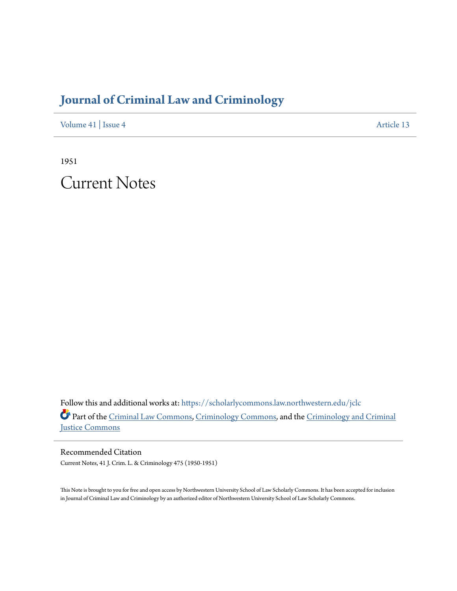## **[Journal of Criminal Law and Criminology](https://scholarlycommons.law.northwestern.edu/jclc?utm_source=scholarlycommons.law.northwestern.edu%2Fjclc%2Fvol41%2Fiss4%2F13&utm_medium=PDF&utm_campaign=PDFCoverPages)**

[Volume 41](https://scholarlycommons.law.northwestern.edu/jclc/vol41?utm_source=scholarlycommons.law.northwestern.edu%2Fjclc%2Fvol41%2Fiss4%2F13&utm_medium=PDF&utm_campaign=PDFCoverPages) | [Issue 4](https://scholarlycommons.law.northwestern.edu/jclc/vol41/iss4?utm_source=scholarlycommons.law.northwestern.edu%2Fjclc%2Fvol41%2Fiss4%2F13&utm_medium=PDF&utm_campaign=PDFCoverPages) [Article 13](https://scholarlycommons.law.northwestern.edu/jclc/vol41/iss4/13?utm_source=scholarlycommons.law.northwestern.edu%2Fjclc%2Fvol41%2Fiss4%2F13&utm_medium=PDF&utm_campaign=PDFCoverPages)

1951 Current Notes

Follow this and additional works at: [https://scholarlycommons.law.northwestern.edu/jclc](https://scholarlycommons.law.northwestern.edu/jclc?utm_source=scholarlycommons.law.northwestern.edu%2Fjclc%2Fvol41%2Fiss4%2F13&utm_medium=PDF&utm_campaign=PDFCoverPages) Part of the [Criminal Law Commons](http://network.bepress.com/hgg/discipline/912?utm_source=scholarlycommons.law.northwestern.edu%2Fjclc%2Fvol41%2Fiss4%2F13&utm_medium=PDF&utm_campaign=PDFCoverPages), [Criminology Commons](http://network.bepress.com/hgg/discipline/417?utm_source=scholarlycommons.law.northwestern.edu%2Fjclc%2Fvol41%2Fiss4%2F13&utm_medium=PDF&utm_campaign=PDFCoverPages), and the [Criminology and Criminal](http://network.bepress.com/hgg/discipline/367?utm_source=scholarlycommons.law.northwestern.edu%2Fjclc%2Fvol41%2Fiss4%2F13&utm_medium=PDF&utm_campaign=PDFCoverPages) [Justice Commons](http://network.bepress.com/hgg/discipline/367?utm_source=scholarlycommons.law.northwestern.edu%2Fjclc%2Fvol41%2Fiss4%2F13&utm_medium=PDF&utm_campaign=PDFCoverPages)

Recommended Citation Current Notes, 41 J. Crim. L. & Criminology 475 (1950-1951)

This Note is brought to you for free and open access by Northwestern University School of Law Scholarly Commons. It has been accepted for inclusion in Journal of Criminal Law and Criminology by an authorized editor of Northwestern University School of Law Scholarly Commons.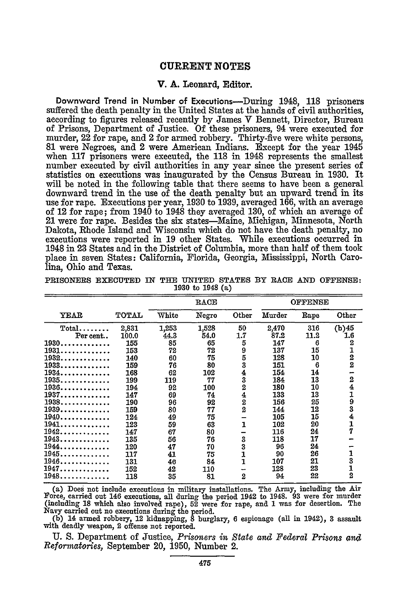## CURRENT **NOTES**

## V. **A.** Leonard, Editor.

**Downward Trend** in Number of Executions-During 1948, **118** prisoners suffered the death penalty in the United States at the hands of civil authorities, according to figures released recently by James V Bennett, Director, Bureau of Prisons, Department of Justice. **Of** these prisoners, 94 were executed for murder, 22 for rape, and 2 for armed robbery. Thirty-five were white persons, **81** were Negroes, and 2 were American Indians. Except for the year 1945 when **117** prisoners were executed, the 118 in 1948 represents the smallest number executed by civil authorities in any year since the present series of statistics on executions was inaugurated by the Census Bureau in 1930. It downward trend in the use of the death penalty but an upward trend in its use for rape. Executions per year, 1930 to 1939, averaged 166, with an average of 12 for rape; from 1940 to 1948 they averaged 130, of which an average of 21 were for rape. Besides the six states-Maine, Michigan, Minnesota, North Dakota, Rhode Island and Wisconsin which do not have the death penalty, no executions were reported in 19 other States. While executions occurred in 1948 in **23** States and in the District of Columbia, more than half of them took place in seven States: California, Florida, Georgia, Mississippi, North Carolina, Ohio and Texas.

PRISONERS **EXECUTED** IN THE UNITED **STATES** BY RACE **AND** OFFENSE: **1930** to 1948 (a)

|                     |       | RACE  |       |                | <b>OFFENSE</b> |      |                  |
|---------------------|-------|-------|-------|----------------|----------------|------|------------------|
| ${\tt YEAR}$        | TOTAL | White | Negro | Other          | Murder         | Rape | Other            |
| $Total \dots \dots$ | 2,831 | 1.253 | 1,528 | 50             | 2,470          | 316  | (b)45            |
| Per cent            | 100.0 | 44.3  | 54.0  | 1.7            | 87.2           | 11.2 | 1.6              |
| 1930 <b></b>        | 155   | 85    | 65    | 5              | 147            | 6    | $\boldsymbol{2}$ |
| $1931$              | 153   | 72    | 72    | 9              | 137            | 15   |                  |
| $1932$              | 140   | 60    | 75    | 5              | 128            | 10   | $\frac{1}{2}$    |
| $1933$              | 159   | 76    | 80    | 3              | 151            | 6    |                  |
| $1934$              | 168   | 62    | 102   |                | 154            | 14   |                  |
| 1935                | 199   | 119   | 77    | $\frac{4}{3}$  | 184            | 13   | $\boldsymbol{2}$ |
| 1936                | 194   | 92    | 100   | 2              | 180            | 10   |                  |
| 1937.               | 147   | 69    | 74    | 4              | 133            | 13   | 4193417          |
| $1938$              | 190   | 96    | 92    | $\overline{2}$ | 156            | 25   |                  |
| $1939$              | 159   | 80    | 77    | $\overline{2}$ | 144            | 12   |                  |
| $1940$              | 124   | 49    | 75    |                | 105            | 15   |                  |
| 1941                | 123   | 59    | 63    | $\mathbf{1}$   | 102            | 20   |                  |
| $1942$              | 147   | 67    | 80    |                | 116            | 24   |                  |
| $1943$              | 135   | 56    | 76    | 3              | 118            | 17   |                  |
| $1944$              | 120   | 47    | 70    | 3              | 96             | 24   |                  |
| $1945$              | 117   | 41    | 75    |                | 90             | 26   | 1                |
| $1946$              | 131   | 46    | 84    | $\frac{1}{1}$  | 107            | 21   |                  |
| $1947$              | 152   | 42    | 110   |                | 128            | 23   | $\frac{3}{2}$    |
| $1948$              | 118   | 35    | 81    | $\overline{2}$ | 94             | 22   |                  |

(a) Does not include executions in military installations. The Army, including the Air Force, carried out 146 executions, all during the period 1942 to 1948. **93** were for murder (including **18** which also involved rape), **52** were for rape, and **1** was for desertion. The Navy carried out no executions during the period.

**(b)** 14 armed robbery, 12 kidnapping, **8** burglary, **6** espionage (all in 1942), **3** assault with deadly weapon, 2 offense not reported.

U. S. Department of Justice, *Prisoners in State and Federal Prisons and Reformatories,* September 20, 1950, Number 2.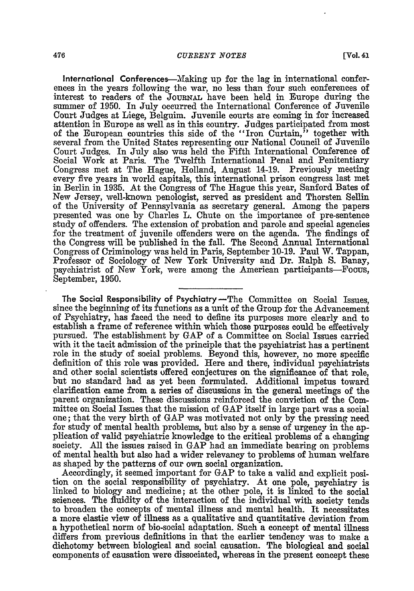**International** Conferences--Making up for the lag in international conferences in the years following the war, no less than four such conferences of interest to readers of the JOURNAL have been held in Europe during the summer of **1950.** In July occurred the International Conference of Juvenile Court Judges at Liege, Belguim. Juvenile courts are coming in for increased attention in Europe as well as in this country. Judges participated from most of the European countries this side of the "Iron Curtain," together with several from the United States representing our National Council of Juvenile Court Judges. In July also was held the Fifth International Conference of Social Work at Paris. The Twelfth International Penal and Penitentiary Congress met at The Hague, Holland, August 14-19. Previously meeting every five years in world capitals, this international prison congress last met in Berlin in **1935.** At the Congress of The Hague this year, Sanford Bates of New Jersey, well-known penologist, served as president and Thorsten Sellin of the University of Pennsylvania as secretary general. Among the papers presented was one **by** Charles L. Chute on the importance of pre-sentence study of offenders. The extension of probation and parole and special agencies for the treatment of juvenile offenders were on the agenda. The findings of the Congress will be published in the fall. The Second Annual International Congress of Criminology was held in Paris, September 10-19. Paul W. Tappan, Professor of Sociology of New York University and Dr. Ralph S. Banay, psychiatrist of New York, were among the American participants-Focus, September, **1950.**

The Social Responsibility **of** Psychiatry-The Committee on Social Issues, since the beginning of its functions as a unit of the Group for the Advancement of Psychiatry, has faced the need to define its purposes more clearly and to establish a frame of reference within which those purposes could be effectively pursued. The establishment by **GAP** of a Committee on Social Issues carried with it the tacit admission of the principle that the psychiatrist has a pertinent role in the study of social problems. Beyond this, however, no more specific definition of this role was provided. Here and there, individual psychiatrists and other social scientists offered conjectures on the significance of that role, but no standard had as yet been formulated. Additional impetus toward clarification came from a series of discussions in the general meetings of the parent organization. These discussions reinforced the conviction of the Committee on Social Issues that the mission of **GAP** itself in large part was a social one; that the very birth of **GAP** was motivated not only by the pressing need for study of mental health problems, but also by a sense of urgency in the application of valid psychiatric knowledge to the critical problems of a changing society. All the issues raised in **GAP** had an immediate bearing on problems of mental health but also had a wider relevancy to problems of human welfare as shaped by the patterns of our own social organization.

Accordingly, it seemed important for **GAP** to take a valid and explicit position on the social responsibility of psychiatry. At one pole, psychiatry is linked to biology and medicine; at the other pole, it is linked to the social sciences. The fluidity of the interaction of the individual with society tends to broaden the concepts of mental illness and mental health. It necessitates a more elastic view of illness as a qualitative and quantitative deviation from a hypothetical norm of bio-social adaptation. Such a concept of mental illness differs from previous definitions in that the earlier tendency was to make a dichotomy between biological and social causation. The biological and social components of causation were dissociated, whereas in the present concept these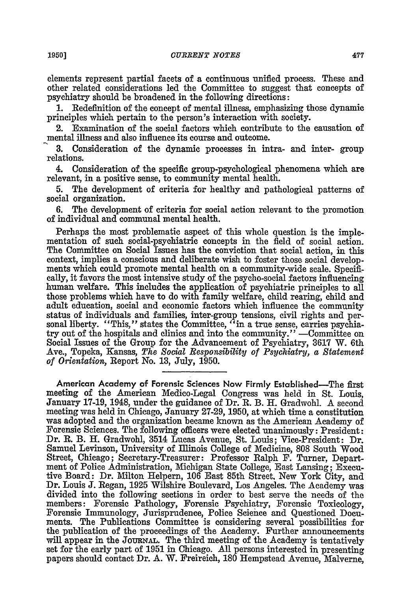*9CURRENT* **NOTES 19501 477**

elements represent partial facets of **a** continuous unified process. These and other related considerations led the Committee to suggest that concepts of psychiatry should be broadened in the following directions:

1. Redefinition of the concept of mental illness, emphasizing those dynamic principles which pertain to the person's interaction with society.

2. Examination of the social factors which contribute to the causation of mental illness and also influence its course and outcome.

3. Consideration of the dynamic processes in intra- and inter- group relations.

4. Consideration of the specific group-psychological phenomena which are relevant, in a positive sense, to community mental health.

5. The development of criteria for healthy and pathological patterns of social organization.

**6.** The development of criteria for social action relevant to the promotion of individual and communal mental health.

Perhaps the most problematic aspect of this whole question is the implementation of such social-psychiatric concepts in the field of social action. The Committee on Social Issues has the conviction that social action, in this context, implies a conscious and deliberate wish to foster those social developments which could promote mental health on a community-wide scale. Specifically, it favors the most intensive study of the psycho-social factors influencing human welfare. This includes the application of psychiatric principles to all those problems which have to do with family welfare, child rearing, child and adult education, social and economic factors which influence the community status of individuals and families, inter-group tensions, civil rights and personal liberty. "This," states the Committee, "in a true sense, carries psychiatry out of the hospitals and clinics and into the community." - Committee on Social Issues of the Group for the Advancement of Psychiatry, **3617** W. 6th Ave., Topeka, Kansas, *The Social Responsibility of Psychiatry, a Statement of Orientation,* Report No. 13, July, 1950.

American Academy of Forensic Sciences Now Firmly Established-The first meeting of the American Medico-Legal Congress was held in St. Louis, January 17-19, 1948, under the guidance of Dr. R. B. H. Gradwohl. A second meeting was held in Chicago, January 27-29, 1950, at which time a constitution was adopted and the organization became known as the American Academy of Forensic Sciences. The following officers were elected unanimously: President: Dr. R. B. H. Gradwohl, 3514 Lucas Avenue, St. Louis; Vice-President: Dr. Samuel Levinson, University of Illinois College of Medicine, 808 South Wood Street, Chicago; Secretary-Treasurer: Professor Ralph F. Turner, Department of Police Administration, Michigan State College, East Lansing; Executive Board: Dr. Milton Helpern, 106 East 85th Street. New York City, and Dr. Louis **J.** Regan, 1925 Wilshire Boulevard, Los Angeles. The Academy was divided into the following sections in order to best serve the needs of the members: Forensic Pathology, Forensic Psychiatry, Forensic Toxicology, Forensic Immunology, Jurisprudence, Police Science and Questioned Documents. The Publications Committee is considering several possibilities for the publication of the proceedings of the Academy. Further announcements will appear in the **JOURNAL.** The third meeting of the Academy is tentatively set for the early part of 1951 in Chicago. All persons interested in presenting papers should contact Dr. A. W. Freireich, **180** Hempstead Avenue, Malverne,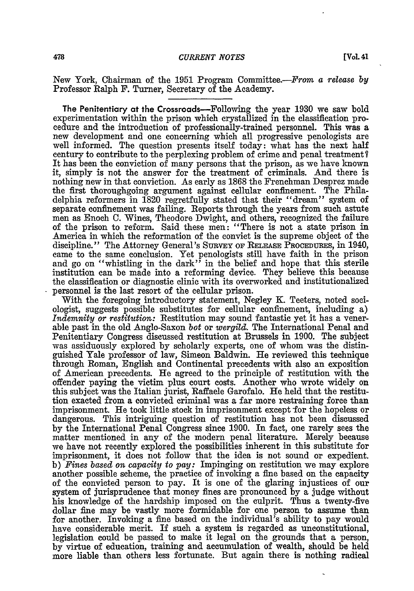New York, Chairman of the 1951 Program *Committee.-From a release by* Professor Ralph F. Turner, Secretary of the Academy.

**The** Penitentiary at the Crossroads-Following the year 1930 we saw bold experimentation within the prison which crystallized in the classification procedure and the introduction of professionally-trained personnel. This was a new development and one concerning which all progressive penologists are well informed. The question presents itself today: what has the next half century to contribute to the perplexing problem of crime and penal treatment? It has been the conviction of many persons that the prison, as we have known it, simply is not the answer for the treatment of criminals. And there is nothing new in that conviction. As early as 1868 the Frenchman Desprez made the first thoroughgoing argument against cellular confinement. The Philadelphia reformers in 1820 regretfully stated that their "dream" system of separate confinement was failing. Reports through the years from such astute men as Enoch C. Wines, Theodore Dwight, and others, recognized the failure of the prison to reform. Said these men: "There is not a state prison in America in which the reformation of the convict is the supreme object of the discipline." The Attorney General's SuRvEY **oF RELEASE** PROCEDURES, in 1940, came to the same conclusion. Yet penologists still have faith in the prison and go on "whistling in the dark" in the belief and hope that this sterile institution can be made into a reforming device. They believe this because the classification or diagnostic clinic with its overworked and institutionalized personnel is the last resort of the cellular prison.

With the foregoing introductory statement, Negley K. Teeters, noted sociologist, suggests possible substitutes for cellular confinement, including a) *Indemnity or restitution:* Restitution may sound fantastic yet it has a venerable past in the old Anglo-Saxon *bot* or *wergild.* The International Penal and Penitentiary Congress discussed restitution at Brussels in 1900. The subject was assiduously explored by scholarly experts, one of whom was the distinguished Yale professor of law, Simeon Baldwin. He reviewed this technique through Roman, English and Continental precedents with also an exposition of American precedents. He agreed to the principle of restitution with the offender paying the victim plus court costs. Another who wrote widely on this subject was the Italian jurist, Raffaele Garofalo. He held that the restitution exacted from a convicted criminal was a far more restraining force than imprisonment. He took little stock in imprisonment except for the hopeless or dangerous. This intriguing question of restitution has not been discussed by the International Penal Congress since 1900. In fact, one rarely sees the matter mentioned in any of the modern penal literature. Merely because we have not recently explored the possibilities inherent in this substitute for imprisonment, it does not follow that the idea is not sound or expedient. b) *Fines based on capacity to pay:* Impinging on restitution we may explore another possible scheme, the practice of invoking a fine based on the capacity of the convicted person to pay. It is one of the glaring injustices of our system of jurisprudence that money fines are pronounced by a judge without his knowledge of the hardship imposed on the culprit. Thus a twenty-five dollar fine may be vastly more formidable for one person to assume than for another. Invoking a fine based on the individual's ability to pay would have considerable merit. If such a system is regarded as unconstitutional, legislation could be passed to make it legal on the grounds that a person, by virtue of education, training and accumulation of wealth, should be held more liable than others less fortunate. But again there is nothing radical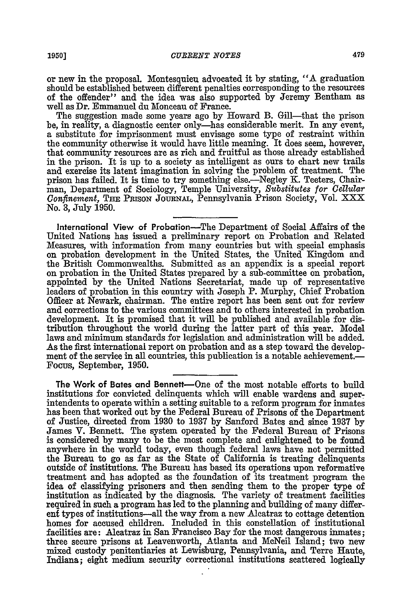or new in the proposal. Montesquieu advocated it by stating, "A graduation should be established between different penalties corresponding to the resources of the offender" and the idea was also supported by Jeremy Bentham as well as Dr. Emmanuel du Monceau of France.

The suggestion made some years ago by Howard B. Gill-that the prison be, in reality, a diagnostic center only-has considerable merit. In any event, a substitute for imprisonment must envisage some type of restraint within the community otherwise it would have little meaning. It does seem, however, that community resources are as rich and fruitful as those already established in the prison. It is up to a society as intelligent as ours to chart new trails and exercise its latent imagination in solving the problem of treatment. The prison has failed. It is time to try something else.--Negley K. Teeters, Chairman, Department of Sociology, Temple University, *Substitutes for Cellular Confinement, THE PRISON JOURNAL, Pennsylvania Prison Society, Vol. XXX* No. 3, July 1950.

International View of Probation-The Department of Social Affairs of the United Nations has issued a preliminary report on Probation and Related Measures, with information from many countries but with special emphasis on probation development in the United States, the United Kingdom and the British Commonwealths. Submitted as an appendix is a special report on probation in the United States prepared by a sub-committee on probation, appointed by the United Nations Secretariat, made up of representative leaders of probation in this country with Joseph P. Murphy, Chief Probation Officer at Newark, chairman. The entire report has been sent out for review and corrections to the various committees and to others interested in probation development. It is promised that it will be published and available for distribution throughout the world during the latter part of this year. Model laws and minimum standards for legislation and administration will be added. As the first international report on probation and as a step toward the development of the service in all countries, this publication is a notable achievement. Focus, September, 1950.

The Work of Bates and Bennett-One of the most notable efforts to build institutions for convicted delinquents which will enable wardens and superintendents to operate within a setting suitable to a reform program for inmates has been that worked out by the Federal Bureau of Prisons of the Department of Justice, directed from 1930 to 1937 by Sanford Bates and since 1937 by James V. Bennett. The system operated by the Federal Bureau of Prisons is considered by many to be the most complete and enlightened to be found anywhere in the world today, even though federal laws have not permitted the Bureau to go as far as the State of California is treating delinquents outside of institutions. The Bureau has based its operations upon reformative treatment and has adopted as the foundation of its treatment program the idea of classifying prisoners and then sending them to the proper type of institution as indicated by the diagnosis. The variety of treatment facilities required in such a program has led to the planning and building of many different types of institutions-all the way from a new Alcatraz to cottage detention homes for accused children. Included in this constellation of institutional facilities are: Alcatraz in San Francisco Bay for the most dangerous inmates; three secure prisons at Leavenworth, Atlanta and McNeil Island; two new mixed custody penitentiaries at Lewisburg, Pennsylvania, and Terre Haute, Indiana; eight medium security correctional institutions scattered logically